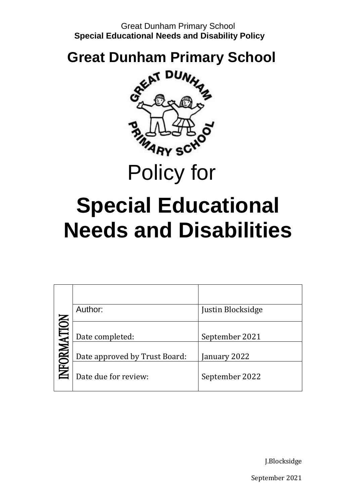# **Great Dunham Primary School**



Policy for

# **Special Educational Needs and Disabilities**

|            | Author:                       | Justin Blocksidge |
|------------|-------------------------------|-------------------|
|            | Date completed:               | September 2021    |
| NFORMATION | Date approved by Trust Board: | January 2022      |
|            | Date due for review:          | September 2022    |

J.Blocksidge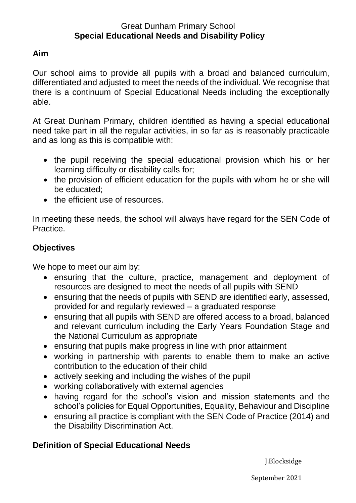# **Aim**

Our school aims to provide all pupils with a broad and balanced curriculum, differentiated and adjusted to meet the needs of the individual. We recognise that there is a continuum of Special Educational Needs including the exceptionally able.

At Great Dunham Primary, children identified as having a special educational need take part in all the regular activities, in so far as is reasonably practicable and as long as this is compatible with:

- the pupil receiving the special educational provision which his or her learning difficulty or disability calls for;
- the provision of efficient education for the pupils with whom he or she will be educated;
- the efficient use of resources.

In meeting these needs, the school will always have regard for the SEN Code of Practice.

# **Objectives**

We hope to meet our aim by:

- ensuring that the culture, practice, management and deployment of resources are designed to meet the needs of all pupils with SEND
- ensuring that the needs of pupils with SEND are identified early, assessed, provided for and regularly reviewed – a graduated response
- ensuring that all pupils with SEND are offered access to a broad, balanced and relevant curriculum including the Early Years Foundation Stage and the National Curriculum as appropriate
- ensuring that pupils make progress in line with prior attainment
- working in partnership with parents to enable them to make an active contribution to the education of their child
- actively seeking and including the wishes of the pupil
- working collaboratively with external agencies
- having regard for the school's vision and mission statements and the school's policies for Equal Opportunities, Equality, Behaviour and Discipline
- ensuring all practice is compliant with the SEN Code of Practice (2014) and the Disability Discrimination Act.

# **Definition of Special Educational Needs**

J.Blocksidge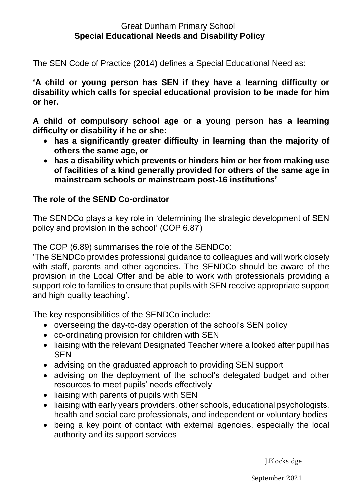The SEN Code of Practice (2014) defines a Special Educational Need as:

**'A child or young person has SEN if they have a learning difficulty or disability which calls for special educational provision to be made for him or her.**

**A child of compulsory school age or a young person has a learning difficulty or disability if he or she:**

- **has a significantly greater difficulty in learning than the majority of others the same age, or**
- **has a disability which prevents or hinders him or her from making use of facilities of a kind generally provided for others of the same age in mainstream schools or mainstream post-16 institutions'**

# **The role of the SEND Co-ordinator**

The SENDCo plays a key role in 'determining the strategic development of SEN policy and provision in the school' (COP 6.87)

The COP (6.89) summarises the role of the SENDCo:

'The SENDCo provides professional guidance to colleagues and will work closely with staff, parents and other agencies. The SENDCo should be aware of the provision in the Local Offer and be able to work with professionals providing a support role to families to ensure that pupils with SEN receive appropriate support and high quality teaching'.

The key responsibilities of the SENDCo include:

- overseeing the day-to-day operation of the school's SEN policy
- co-ordinating provision for children with SEN
- liaising with the relevant Designated Teacher where a looked after pupil has **SEN**
- advising on the graduated approach to providing SEN support
- advising on the deployment of the school's delegated budget and other resources to meet pupils' needs effectively
- liaising with parents of pupils with SEN
- liaising with early years providers, other schools, educational psychologists, health and social care professionals, and independent or voluntary bodies
- being a key point of contact with external agencies, especially the local authority and its support services

J.Blocksidge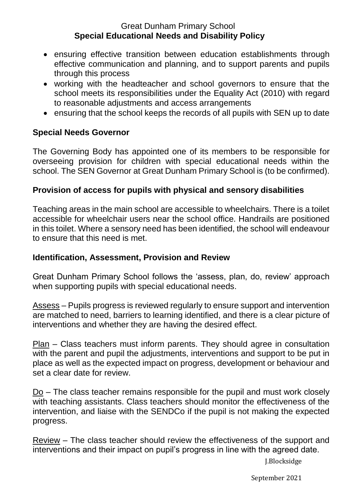- ensuring effective transition between education establishments through effective communication and planning, and to support parents and pupils through this process
- working with the headteacher and school governors to ensure that the school meets its responsibilities under the Equality Act (2010) with regard to reasonable adjustments and access arrangements
- ensuring that the school keeps the records of all pupils with SEN up to date

# **Special Needs Governor**

The Governing Body has appointed one of its members to be responsible for overseeing provision for children with special educational needs within the school. The SEN Governor at Great Dunham Primary School is (to be confirmed).

# **Provision of access for pupils with physical and sensory disabilities**

Teaching areas in the main school are accessible to wheelchairs. There is a toilet accessible for wheelchair users near the school office. Handrails are positioned in this toilet. Where a sensory need has been identified, the school will endeavour to ensure that this need is met.

# **Identification, Assessment, Provision and Review**

Great Dunham Primary School follows the 'assess, plan, do, review' approach when supporting pupils with special educational needs.

Assess – Pupils progress is reviewed regularly to ensure support and intervention are matched to need, barriers to learning identified, and there is a clear picture of interventions and whether they are having the desired effect.

Plan – Class teachers must inform parents. They should agree in consultation with the parent and pupil the adjustments, interventions and support to be put in place as well as the expected impact on progress, development or behaviour and set a clear date for review.

 $\underline{Do}$  – The class teacher remains responsible for the pupil and must work closely with teaching assistants. Class teachers should monitor the effectiveness of the intervention, and liaise with the SENDCo if the pupil is not making the expected progress.

Review – The class teacher should review the effectiveness of the support and interventions and their impact on pupil's progress in line with the agreed date.

J.Blocksidge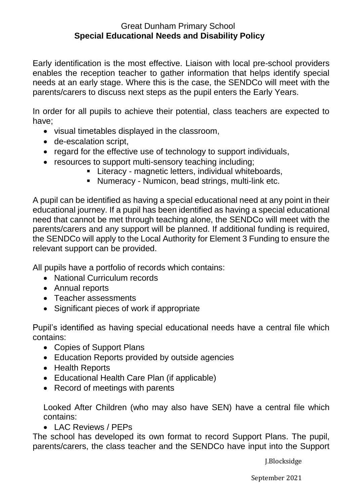Early identification is the most effective. Liaison with local pre-school providers enables the reception teacher to gather information that helps identify special needs at an early stage. Where this is the case, the SENDCo will meet with the parents/carers to discuss next steps as the pupil enters the Early Years.

In order for all pupils to achieve their potential, class teachers are expected to have;

- visual timetables displayed in the classroom,
- de-escalation script,
- regard for the effective use of technology to support individuals,
- resources to support multi-sensory teaching including;
	- Literacy magnetic letters, individual whiteboards,
	- Numeracy Numicon, bead strings, multi-link etc.

A pupil can be identified as having a special educational need at any point in their educational journey. If a pupil has been identified as having a special educational need that cannot be met through teaching alone, the SENDCo will meet with the parents/carers and any support will be planned. If additional funding is required, the SENDCo will apply to the Local Authority for Element 3 Funding to ensure the relevant support can be provided.

All pupils have a portfolio of records which contains:

- National Curriculum records
- Annual reports
- Teacher assessments
- Significant pieces of work if appropriate

Pupil's identified as having special educational needs have a central file which contains:

- Copies of Support Plans
- Education Reports provided by outside agencies
- Health Reports
- Educational Health Care Plan (if applicable)
- Record of meetings with parents

Looked After Children (who may also have SEN) have a central file which contains:

• LAC Reviews / PEPs

The school has developed its own format to record Support Plans. The pupil, parents/carers, the class teacher and the SENDCo have input into the Support

J.Blocksidge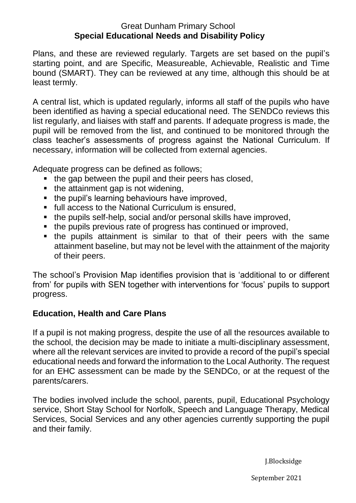Plans, and these are reviewed regularly. Targets are set based on the pupil's starting point, and are Specific, Measureable, Achievable, Realistic and Time bound (SMART). They can be reviewed at any time, although this should be at least termly.

A central list, which is updated regularly, informs all staff of the pupils who have been identified as having a special educational need. The SENDCo reviews this list regularly, and liaises with staff and parents. If adequate progress is made, the pupil will be removed from the list, and continued to be monitored through the class teacher's assessments of progress against the National Curriculum. If necessary, information will be collected from external agencies.

Adequate progress can be defined as follows;

- $\blacksquare$  the gap between the pupil and their peers has closed,
- the attainment gap is not widening,
- the pupil's learning behaviours have improved,
- full access to the National Curriculum is ensured,
- the pupils self-help, social and/or personal skills have improved,
- the pupils previous rate of progress has continued or improved,
- the pupils attainment is similar to that of their peers with the same attainment baseline, but may not be level with the attainment of the majority of their peers.

The school's Provision Map identifies provision that is 'additional to or different from' for pupils with SEN together with interventions for 'focus' pupils to support progress.

# **Education, Health and Care Plans**

If a pupil is not making progress, despite the use of all the resources available to the school, the decision may be made to initiate a multi-disciplinary assessment, where all the relevant services are invited to provide a record of the pupil's special educational needs and forward the information to the Local Authority. The request for an EHC assessment can be made by the SENDCo, or at the request of the parents/carers.

The bodies involved include the school, parents, pupil, Educational Psychology service, Short Stay School for Norfolk, Speech and Language Therapy, Medical Services, Social Services and any other agencies currently supporting the pupil and their family.

J.Blocksidge